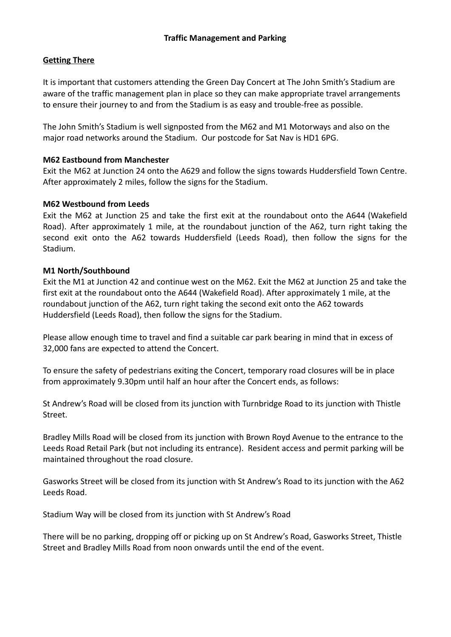## **Getting There**

It is important that customers attending the Green Day Concert at The John Smith's Stadium are aware of the traffic management plan in place so they can make appropriate travel arrangements to ensure their journey to and from the Stadium is as easy and trouble-free as possible.

The John Smith's Stadium is well signposted from the M62 and M1 Motorways and also on the major road networks around the Stadium. Our postcode for Sat Nav is HD1 6PG.

#### **M62 Eastbound from Manchester**

Exit the M62 at Junction 24 onto the A629 and follow the signs towards Huddersfield Town Centre. After approximately 2 miles, follow the signs for the Stadium.

## **M62 Westbound from Leeds**

Exit the M62 at Junction 25 and take the first exit at the roundabout onto the A644 (Wakefield Road). After approximately 1 mile, at the roundabout junction of the A62, turn right taking the second exit onto the A62 towards Huddersfield (Leeds Road), then follow the signs for the Stadium.

## **M1 North/Southbound**

Exit the M1 at Junction 42 and continue west on the M62. Exit the M62 at Junction 25 and take the first exit at the roundabout onto the A644 (Wakefield Road). After approximately 1 mile, at the roundabout junction of the A62, turn right taking the second exit onto the A62 towards Huddersfield (Leeds Road), then follow the signs for the Stadium.

Please allow enough time to travel and find a suitable car park bearing in mind that in excess of 32,000 fans are expected to attend the Concert.

To ensure the safety of pedestrians exiting the Concert, temporary road closures will be in place from approximately 9.30pm until half an hour after the Concert ends, as follows:

St Andrew's Road will be closed from its junction with Turnbridge Road to its junction with Thistle Street.

Bradley Mills Road will be closed from its junction with Brown Royd Avenue to the entrance to the Leeds Road Retail Park (but not including its entrance). Resident access and permit parking will be maintained throughout the road closure.

Gasworks Street will be closed from its junction with St Andrew's Road to its junction with the A62 Leeds Road.

Stadium Way will be closed from its junction with St Andrew's Road

There will be no parking, dropping off or picking up on St Andrew's Road, Gasworks Street, Thistle Street and Bradley Mills Road from noon onwards until the end of the event.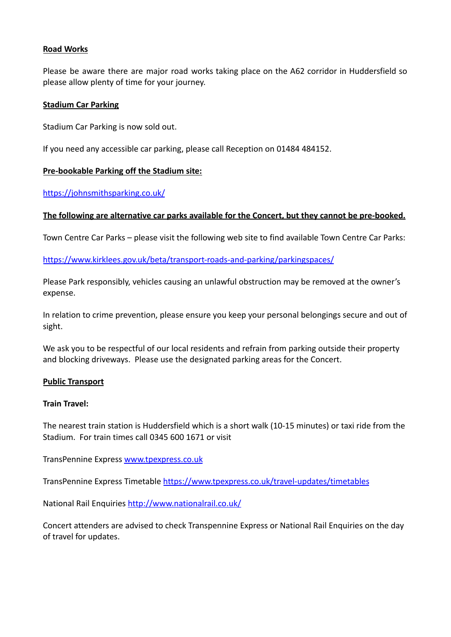## **Road Works**

Please be aware there are major road works taking place on the A62 corridor in Huddersfield so please allow plenty of time for your journey.

#### **Stadium Car Parking**

Stadium Car Parking is now sold out.

If you need any accessible car parking, please call Reception on 01484 484152.

## **Pre-bookable Parking off the Stadium site:**

<https://johnsmithsparking.co.uk/>

#### **The following are alternative car parks available for the Concert, but they cannot be pre-booked.**

Town Centre Car Parks – please visit the following web site to find available Town Centre Car Parks:

<https://www.kirklees.gov.uk/beta/transport-roads-and-parking/parkingspaces/>

Please Park responsibly, vehicles causing an unlawful obstruction may be removed at the owner's expense.

In relation to crime prevention, please ensure you keep your personal belongings secure and out of sight.

We ask you to be respectful of our local residents and refrain from parking outside their property and blocking driveways. Please use the designated parking areas for the Concert.

#### **Public Transport**

#### **Train Travel:**

The nearest train station is Huddersfield which is a short walk (10-15 minutes) or taxi ride from the Stadium. For train times call 0345 600 1671 or visit

TransPennine Express www.tpexpress.co.uk

TransPennine Express Timetable <https://www.tpexpress.co.uk/travel-updates/timetables>

National Rail Enquiries <http://www.nationalrail.co.uk/>

Concert attenders are advised to check Transpennine Express or National Rail Enquiries on the day of travel for updates.